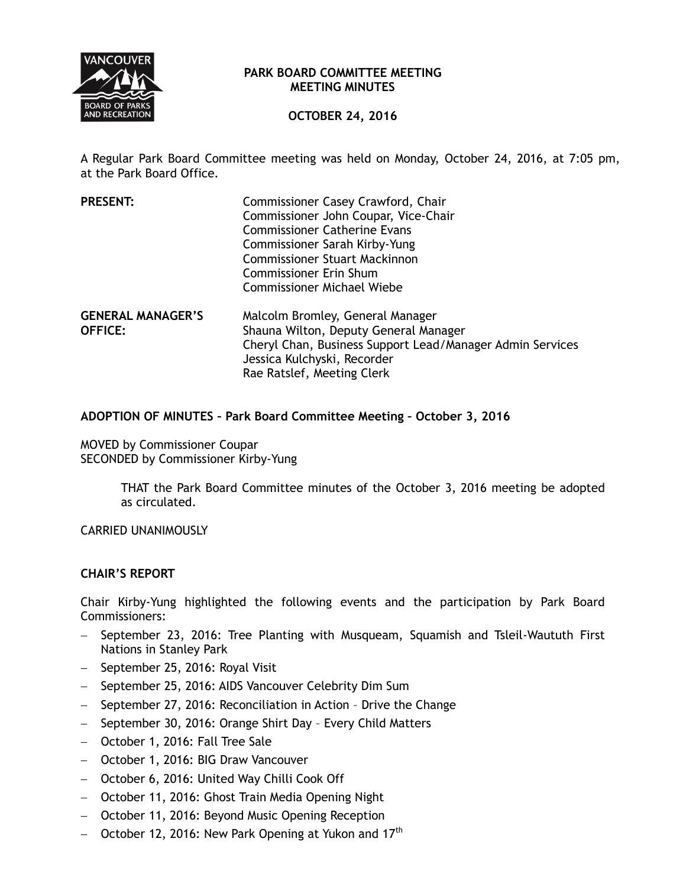

### **PARK BOARD COMMITTEE MEETING MEETING MINUTES**

# **OCTOBER 24, 2016**

A Regular Park Board Committee meeting was held on Monday, October 24, 2016, at 7:05 pm, at the Park Board Office.

| <b>PRESENT:</b>                            | Commissioner Casey Crawford, Chair<br>Commissioner John Coupar, Vice-Chair<br><b>Commissioner Catherine Evans</b><br>Commissioner Sarah Kirby-Yung<br><b>Commissioner Stuart Mackinnon</b><br><b>Commissioner Erin Shum</b>              |
|--------------------------------------------|------------------------------------------------------------------------------------------------------------------------------------------------------------------------------------------------------------------------------------------|
| <b>GENERAL MANAGER'S</b><br><b>OFFICE:</b> | <b>Commissioner Michael Wiebe</b><br>Malcolm Bromley, General Manager<br>Shauna Wilton, Deputy General Manager<br>Cheryl Chan, Business Support Lead/Manager Admin Services<br>Jessica Kulchyski, Recorder<br>Rae Ratslef, Meeting Clerk |

## **ADOPTION OF MINUTES – Park Board Committee Meeting – October 3, 2016**

MOVED by Commissioner Coupar SECONDED by Commissioner Kirby-Yung

> THAT the Park Board Committee minutes of the October 3, 2016 meeting be adopted as circulated.

CARRIED UNANIMOUSLY

## **CHAIR'S REPORT**

Chair Kirby-Yung highlighted the following events and the participation by Park Board Commissioners:

- September 23, 2016: Tree Planting with Musqueam, Squamish and Tsleil-Waututh First Nations in Stanley Park
- September 25, 2016: Royal Visit
- September 25, 2016: AIDS Vancouver Celebrity Dim Sum
- September 27, 2016: Reconciliation in Action Drive the Change
- September 30, 2016: Orange Shirt Day Every Child Matters
- October 1, 2016: Fall Tree Sale
- October 1, 2016: BIG Draw Vancouver
- October 6, 2016: United Way Chilli Cook Off
- October 11, 2016: Ghost Train Media Opening Night
- October 11, 2016: Beyond Music Opening Reception
- $-$  October 12, 2016: New Park Opening at Yukon and 17<sup>th</sup>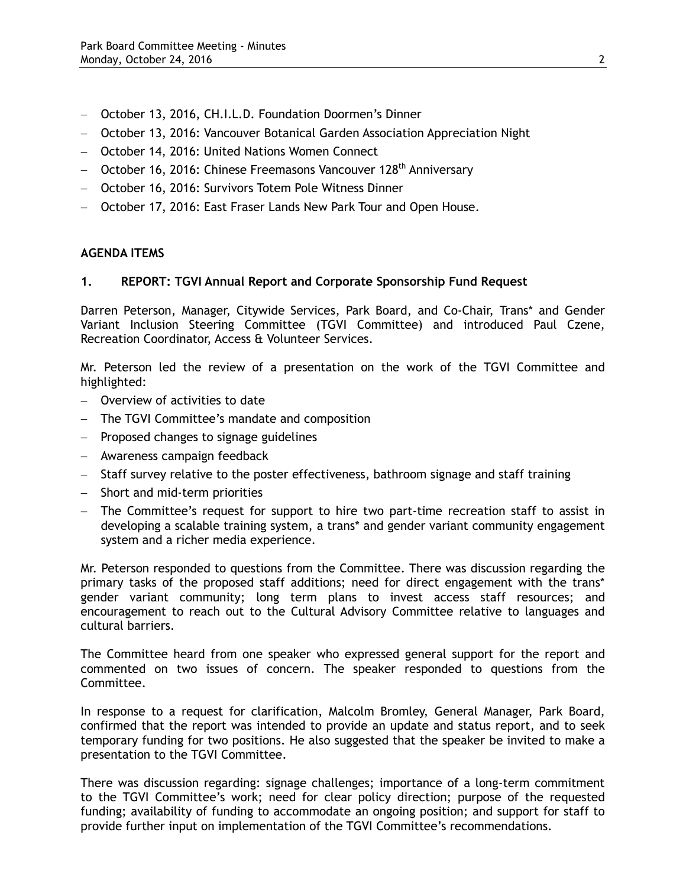- October 13, 2016, CH.I.L.D. Foundation Doormen's Dinner
- October 13, 2016: Vancouver Botanical Garden Association Appreciation Night
- October 14, 2016: United Nations Women Connect
- $-$  October 16, 2016: Chinese Freemasons Vancouver 128<sup>th</sup> Anniversary
- October 16, 2016: Survivors Totem Pole Witness Dinner
- October 17, 2016: East Fraser Lands New Park Tour and Open House.

### **AGENDA ITEMS**

#### **1. REPORT: TGVI Annual Report and Corporate Sponsorship Fund Request**

Darren Peterson, Manager, Citywide Services, Park Board, and Co-Chair, Trans\* and Gender Variant Inclusion Steering Committee (TGVI Committee) and introduced Paul Czene, Recreation Coordinator, Access & Volunteer Services.

Mr. Peterson led the review of a presentation on the work of the TGVI Committee and highlighted:

- Overview of activities to date
- The TGVI Committee's mandate and composition
- Proposed changes to signage guidelines
- Awareness campaign feedback
- Staff survey relative to the poster effectiveness, bathroom signage and staff training
- Short and mid-term priorities
- The Committee's request for support to hire two part-time recreation staff to assist in developing a scalable training system, a trans\* and gender variant community engagement system and a richer media experience.

Mr. Peterson responded to questions from the Committee. There was discussion regarding the primary tasks of the proposed staff additions; need for direct engagement with the trans\* gender variant community; long term plans to invest access staff resources; and encouragement to reach out to the Cultural Advisory Committee relative to languages and cultural barriers.

The Committee heard from one speaker who expressed general support for the report and commented on two issues of concern. The speaker responded to questions from the Committee.

In response to a request for clarification, Malcolm Bromley, General Manager, Park Board, confirmed that the report was intended to provide an update and status report, and to seek temporary funding for two positions. He also suggested that the speaker be invited to make a presentation to the TGVI Committee.

There was discussion regarding: signage challenges; importance of a long-term commitment to the TGVI Committee's work; need for clear policy direction; purpose of the requested funding; availability of funding to accommodate an ongoing position; and support for staff to provide further input on implementation of the TGVI Committee's recommendations.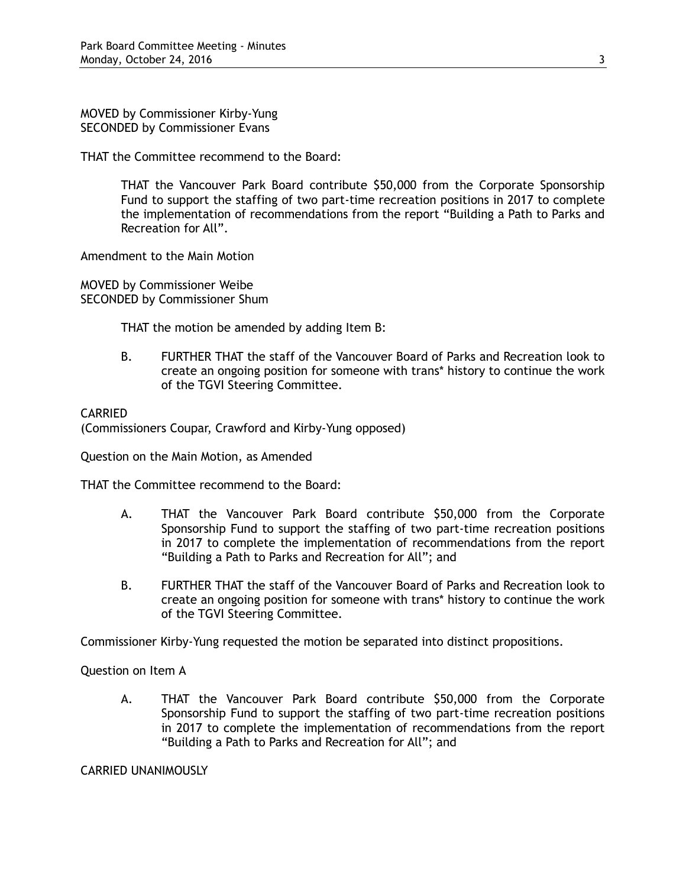MOVED by Commissioner Kirby-Yung SECONDED by Commissioner Evans

THAT the Committee recommend to the Board:

THAT the Vancouver Park Board contribute \$50,000 from the Corporate Sponsorship Fund to support the staffing of two part-time recreation positions in 2017 to complete the implementation of recommendations from the report "Building a Path to Parks and Recreation for All".

Amendment to the Main Motion

MOVED by Commissioner Weibe SECONDED by Commissioner Shum

THAT the motion be amended by adding Item B:

B. FURTHER THAT the staff of the Vancouver Board of Parks and Recreation look to create an ongoing position for someone with trans\* history to continue the work of the TGVI Steering Committee.

### CARRIED

(Commissioners Coupar, Crawford and Kirby-Yung opposed)

Question on the Main Motion, as Amended

THAT the Committee recommend to the Board:

- A. THAT the Vancouver Park Board contribute \$50,000 from the Corporate Sponsorship Fund to support the staffing of two part-time recreation positions in 2017 to complete the implementation of recommendations from the report "Building a Path to Parks and Recreation for All"; and
- B. FURTHER THAT the staff of the Vancouver Board of Parks and Recreation look to create an ongoing position for someone with trans\* history to continue the work of the TGVI Steering Committee.

Commissioner Kirby-Yung requested the motion be separated into distinct propositions.

Question on Item A

A. THAT the Vancouver Park Board contribute \$50,000 from the Corporate Sponsorship Fund to support the staffing of two part-time recreation positions in 2017 to complete the implementation of recommendations from the report "Building a Path to Parks and Recreation for All"; and

CARRIED UNANIMOUSLY